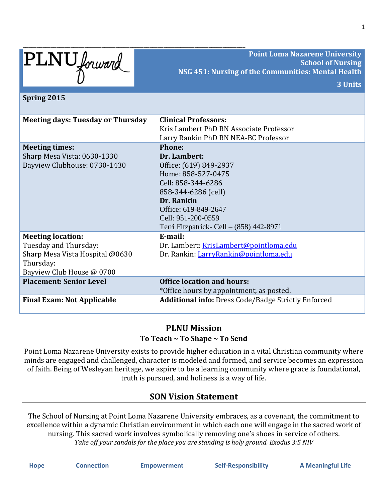| PLNU forward                             | <b>Point Loma Nazarene University</b><br><b>School of Nursing</b><br>NSG 451: Nursing of the Communities: Mental Health |
|------------------------------------------|-------------------------------------------------------------------------------------------------------------------------|
|                                          | 3 Units                                                                                                                 |
|                                          |                                                                                                                         |
| Spring 2015                              |                                                                                                                         |
| <b>Meeting days: Tuesday or Thursday</b> | <b>Clinical Professors:</b>                                                                                             |
|                                          | Kris Lambert PhD RN Associate Professor                                                                                 |
|                                          | Larry Rankin PhD RN NEA-BC Professor                                                                                    |
| <b>Meeting times:</b>                    | Phone:                                                                                                                  |
| Sharp Mesa Vista: 0630-1330              | Dr. Lambert:                                                                                                            |
| Bayview Clubhouse: 0730-1430             | Office: (619) 849-2937                                                                                                  |
|                                          | Home: 858-527-0475                                                                                                      |
|                                          | Cell: 858-344-6286                                                                                                      |
|                                          | 858-344-6286 (cell)                                                                                                     |
|                                          | Dr. Rankin                                                                                                              |
|                                          | Office: 619-849-2647                                                                                                    |
|                                          | Cell: 951-200-0559                                                                                                      |
|                                          | Terri Fitzpatrick- Cell - (858) 442-8971                                                                                |
| <b>Meeting location:</b>                 | E-mail:                                                                                                                 |
| Tuesday and Thursday:                    | Dr. Lambert: KrisLambert@pointloma.edu                                                                                  |
| Sharp Mesa Vista Hospital @0630          | Dr. Rankin: LarryRankin@pointloma.edu                                                                                   |
| Thursday:                                |                                                                                                                         |
| Bayview Club House @ 0700                |                                                                                                                         |
| <b>Placement: Senior Level</b>           | <b>Office location and hours:</b>                                                                                       |
|                                          | *Office hours by appointment, as posted.                                                                                |
| <b>Final Exam: Not Applicable</b>        | <b>Additional info: Dress Code/Badge Strictly Enforced</b>                                                              |

#### **PLNU Mission To Teach ~ To Shape ~ To Send**

Point Loma Nazarene University exists to provide higher education in a vital Christian community where minds are engaged and challenged, character is modeled and formed, and service becomes an expression of faith. Being of Wesleyan heritage, we aspire to be a learning community where grace is foundational, truth is pursued, and holiness is a way of life.

# **SON Vision Statement**

The School of Nursing at Point Loma Nazarene University embraces, as a covenant, the commitment to excellence within a dynamic Christian environment in which each one will engage in the sacred work of nursing. This sacred work involves symbolically removing one's shoes in service of others. *Take off your sandals for the place you are standing is holy ground. Exodus 3:5 NIV*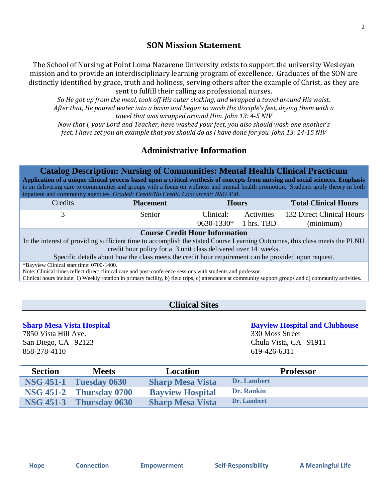The School of Nursing at Point Loma Nazarene University exists to support the university Wesleyan mission and to provide an interdisciplinary learning program of excellence. Graduates of the SON are distinctly identified by grace, truth and holiness, serving others after the example of Christ, as they are sent to fulfill their calling as professional nurses.

*So He got up from the meal, took off His outer clothing, and wrapped a towel around His waist. After that, He poured water into a basin and began to wash His disciple's feet, drying them with a towel that was wrapped around Him. John 13: 4-5 NIV*

*Now that I, your Lord and Teacher, have washed your feet, you also should wash one another's feet. I have set you an example that you should do as I have done for you. John 13: 14-15 NIV*

# **Administrative Information**

## **Catalog Description: Nursing of Communities: Mental Health Clinical Practicum**

**Application of a unique clinical process based upon a critical synthesis of concepts from nursing and social sciences. Emphasis** is on delivering care to communities and groups with a focus on wellness and mental health promotion. Students apply theory in both inpatient and community agencies. *Graded: Credit/No Credit. Concurrent: NSG 450.*

| Credits | <b>Placement</b> | <b>Hours</b>            |            | <b>Total Clinical Hours</b> |
|---------|------------------|-------------------------|------------|-----------------------------|
|         | Senior.          | Clinical:               | Activities | 132 Direct Clinical Hours   |
|         |                  | $0630-1330*$ 1 hrs. TBD |            | (minimum)                   |

#### **Course Credit Hour Information**

In the interest of providing sufficient time to accomplish the stated Course Learning Outcomes, this class meets the PLNU credit hour policy for a 3 unit class delivered over 14 weeks.

Specific details about how the class meets the credit hour requirement can be provided upon request.

\*Bayview Clinical start time: 0700-1400.

Note: Clinical times reflect direct clinical care and post-conference sessions with students and professor.

Clinical hours include: 1) Weekly rotation in primary facility, b) field trips, c) attendance at community support groups and d) community activities.

# **Clinical Sites**

7850 Vista Hill Ave. 330 Moss Street San Diego, CA 92123 Chula Vista, CA 91911 858-278-4110 619-426-6311

**Sharp Mesa Vista Hospital Bayview Hospital and Clubhouse**

| <b>Section</b> | <b>Meets</b>                   | <b>Location</b>         | <b>Professor</b> |
|----------------|--------------------------------|-------------------------|------------------|
|                | <b>NSG 451-1 Tuesday 0630</b>  | <b>Sharp Mesa Vista</b> | Dr. Lambert      |
|                | <b>NSG 451-2 Thursday 0700</b> | <b>Bayview Hospital</b> | Dr. Rankin       |
|                | NSG 451-3 Thursday 0630        | <b>Sharp Mesa Vista</b> | Dr. Lambert      |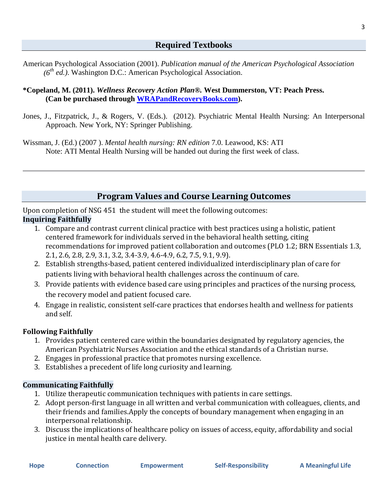American Psychological Association (2001). *Publication manual of the American Psychological Association (6th ed.)*. Washington D.C.: American Psychological Association.

### **\*Copeland, M. (2011).** *Wellness Recovery Action Plan®.* **West Dummerston, VT: Peach Press. (Can be purchased through [WRAPandRecoveryBooks.com\)](http://mentalhealthrecovery.com/store/wrap.html).**

Jones, J., Fitzpatrick, J., & Rogers, V. (Eds.). (2012). Psychiatric Mental Health Nursing: An Interpersonal Approach. New York, NY: Springer Publishing.

Wissman, J. (Ed.) (2007 ). *Mental health nursing: RN edition* 7.0. Leawood, KS: ATI Note: ATI Mental Health Nursing will be handed out during the first week of class.

# **Program Values and Course Learning Outcomes**

Upon completion of NSG 451 the student will meet the following outcomes: **Inquiring Faithfully**

- 1. Compare and contrast current clinical practice with best practices using a holistic, patient centered framework for individuals served in the behavioral health setting, citing recommendations for improved patient collaboration and outcomes (PLO 1.2; BRN Essentials 1.3, 2.1, 2.6, 2.8, 2.9, 3.1, 3.2, 3.4-3.9, 4.6-4.9, 6.2, 7.5, 9.1, 9.9).
- 2. Establish strengths-based, patient centered individualized interdisciplinary plan of care for patients living with behavioral health challenges across the continuum of care.
- 3. Provide patients with evidence based care using principles and practices of the nursing process, the recovery model and patient focused care.
- 4. Engage in realistic, consistent self-care practices that endorses health and wellness for patients and self.

# **Following Faithfully**

- 1. Provides patient centered care within the boundaries designated by regulatory agencies, the American Psychiatric Nurses Association and the ethical standards of a Christian nurse.
- 2. Engages in professional practice that promotes nursing excellence.
- 3. Establishes a precedent of life long curiosity and learning.

## **Communicating Faithfully**

- 1. Utilize therapeutic communication techniques with patients in care settings.
- 2. Adopt person-first language in all written and verbal communication with colleagues, clients, and their friends and families.Apply the concepts of boundary management when engaging in an interpersonal relationship.
- 3. Discuss the implications of healthcare policy on issues of access, equity, affordability and social justice in mental health care delivery.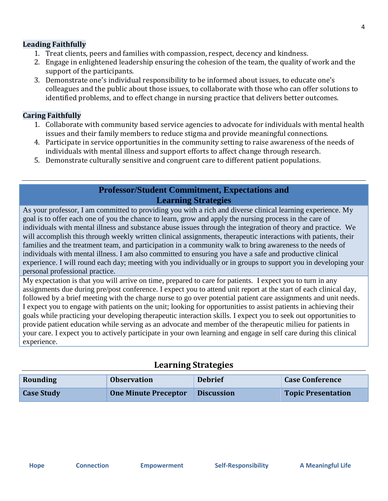## **Leading Faithfully**

- 1. Treat clients, peers and families with compassion, respect, decency and kindness.
- 2. Engage in enlightened leadership ensuring the cohesion of the team, the quality of work and the support of the participants.
- 3. Demonstrate one's individual responsibility to be informed about issues, to educate one's colleagues and the public about those issues, to collaborate with those who can offer solutions to identified problems, and to effect change in nursing practice that delivers better outcomes.

## **Caring Faithfully**

- 1. Collaborate with community based service agencies to advocate for individuals with mental health issues and their family members to reduce stigma and provide meaningful connections.
- 4. Participate in service opportunities in the community setting to raise awareness of the needs of individuals with mental illness and support efforts to affect change through research.
- 5. Demonstrate culturally sensitive and congruent care to different patient populations.

## **Professor/Student Commitment, Expectations and Learning Strategies**

As your professor, I am committed to providing you with a rich and diverse clinical learning experience. My goal is to offer each one of you the chance to learn, grow and apply the nursing process in the care of individuals with mental illness and substance abuse issues through the integration of theory and practice. We will accomplish this through weekly written clinical assignments, therapeutic interactions with patients, their families and the treatment team, and participation in a community walk to bring awareness to the needs of individuals with mental illness. I am also committed to ensuring you have a safe and productive clinical experience. I will round each day; meeting with you individually or in groups to support you in developing your personal professional practice.

My expectation is that you will arrive on time, prepared to care for patients. I expect you to turn in any assignments due during pre/post conference. I expect you to attend unit report at the start of each clinical day, followed by a brief meeting with the charge nurse to go over potential patient care assignments and unit needs. I expect you to engage with patients on the unit; looking for opportunities to assist patients in achieving their goals while practicing your developing therapeutic interaction skills. I expect you to seek out opportunities to provide patient education while serving as an advocate and member of the therapeutic milieu for patients in your care. I expect you to actively participate in your own learning and engage in self care during this clinical experience.

# **Learning Strategies**

| Rounding          | <b>Observation</b>          | <b>Debrief</b>    | <b>Case Conference</b>    |
|-------------------|-----------------------------|-------------------|---------------------------|
| <b>Case Study</b> | <b>One Minute Preceptor</b> | <b>Discussion</b> | <b>Topic Presentation</b> |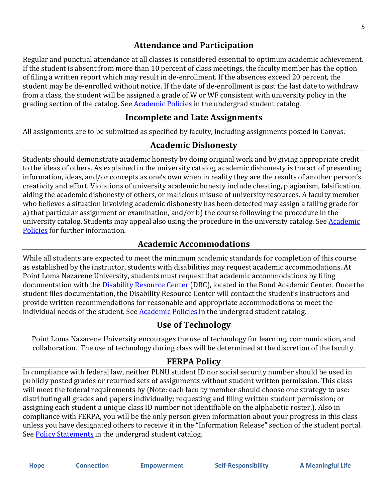# **Attendance and Participation**

Regular and punctual attendance at all classes is considered essential to optimum academic achievement. If the student is absent from more than 10 percent of class meetings, the faculty member has the option of filing a written report which may result in de-enrollment. If the absences exceed 20 percent, the student may be de-enrolled without notice. If the date of de-enrollment is past the last date to withdraw from a class, the student will be assigned a grade of W or WF consistent with university policy in the grading section of the catalog. See **Academic Policies** in the undergrad student catalog.

# **Incomplete and Late Assignments**

All assignments are to be submitted as specified by faculty, including assignments posted in Canvas.

# **Academic Dishonesty**

Students should demonstrate academic honesty by doing original work and by giving appropriate credit to the ideas of others. As explained in the university catalog, academic dishonesty is the act of presenting information, ideas, and/or concepts as one's own when in reality they are the results of another person's creativity and effort. Violations of university academic honesty include cheating, plagiarism, falsification, aiding the academic dishonesty of others, or malicious misuse of university resources. A faculty member who believes a situation involving academic dishonesty has been detected may assign a failing grade for a) that particular assignment or examination, and/or b) the course following the procedure in the university catalog. Students may appeal also using the procedure in the university catalog. See **Academic** [Policies](http://www.pointloma.edu/experience/academics/catalogs/undergraduate-catalog/point-loma-education/academic-policies) for further information.

# **Academic Accommodations**

While all students are expected to meet the minimum academic standards for completion of this course as established by the instructor, students with disabilities may request academic accommodations. At Point Loma Nazarene University, students must request that academic accommodations by filing documentation with the **Disability Resource Center** (DRC), located in the Bond Academic Center. Once the student files documentation, the Disability Resource Center will contact the student's instructors and provide written recommendations for reasonable and appropriate accommodations to meet the individual needs of the student. Se[e Academic Policies](http://www.pointloma.edu/experience/academics/catalogs/undergraduate-catalog/point-loma-education/academic-policies) in the undergrad student catalog.

# **Use of Technology**

Point Loma Nazarene University encourages the use of technology for learning, communication, and collaboration. The use of technology during class will be determined at the discretion of the faculty.

# **FERPA Policy**

In compliance with federal law, neither PLNU student ID nor social security number should be used in publicly posted grades or returned sets of assignments without student written permission. This class will meet the federal requirements by (Note: each faculty member should choose one strategy to use: distributing all grades and papers individually; requesting and filing written student permission; or assigning each student a unique class ID number not identifiable on the alphabetic roster.). Also in compliance with FERPA, you will be the only person given information about your progress in this class unless you have designated others to receive it in the "Information Release" section of the student portal. See **Policy Statements** in the undergrad student catalog.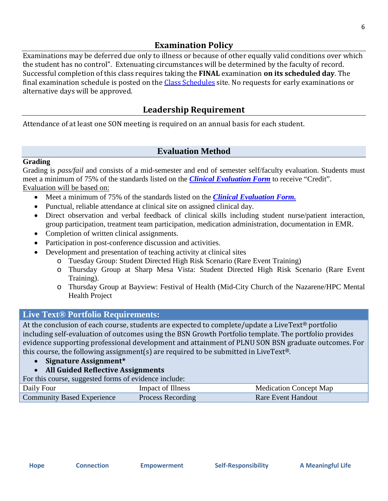Examinations may be deferred due only to illness or because of other equally valid conditions over which the student has no control". Extenuating circumstances will be determined by the faculty of record. Successful completion of this class requires taking the **FINAL** examination **on its scheduled day**. The final examination schedule is posted on the [Class Schedules](http://www.pointloma.edu/experience/academics/class-schedules) site. No requests for early examinations or alternative days will be approved.

# **Leadership Requirement**

Attendance of at least one SON meeting is required on an annual basis for each student.

# **Evaluation Method**

## **Grading**

Grading is *pass/fail* and consists of a mid-semester and end of semester self/faculty evaluation. Students must meet a minimum of 75% of the standards listed on the *Clinical Evaluation Form* to receive "Credit". Evaluation will be based on:

- Meet a minimum of 75% of the standards listed on the *Clinical Evaluation Form.*
- Punctual, reliable attendance at clinical site on assigned clinical day.
- Direct observation and verbal feedback of clinical skills including student nurse/patient interaction, group participation, treatment team participation, medication administration, documentation in EMR.
- Completion of written clinical assignments.
- Participation in post-conference discussion and activities.
- Development and presentation of teaching activity at clinical sites
	- o Tuesday Group: Student Directed High Risk Scenario (Rare Event Training)
	- o Thursday Group at Sharp Mesa Vista: Student Directed High Risk Scenario (Rare Event Training).
	- o Thursday Group at Bayview: Festival of Health (Mid-City Church of the Nazarene/HPC Mental Health Project

# **Live Text® Portfolio Requirements:**

At the conclusion of each course, students are expected to complete/update a LiveText® portfolio including self-evaluation of outcomes using the BSN Growth Portfolio template. The portfolio provides evidence supporting professional development and attainment of PLNU SON BSN graduate outcomes. For this course, the following assignment(s) are required to be submitted in LiveText<sup>®</sup>.

- **Signature Assignment\***
- **All Guided Reflective Assignments**

For this course, suggested forms of evidence include:

| $= 1.1$ $= 1.1$ $= 1.1$ $= 1.1$ $= 1.1$ $= 1.1$ $= 1.1$ $= 1.1$ $= 1.1$ $= 1.1$ |                   |                               |
|---------------------------------------------------------------------------------|-------------------|-------------------------------|
| Daily Four                                                                      | Impact of Illness | <b>Medication Concept Map</b> |
| <b>Community Based Experience</b>                                               | Process Recording | Rare Event Handout            |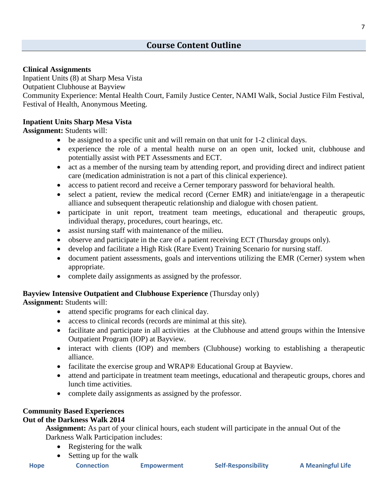#### **Clinical Assignments**

Inpatient Units (8) at Sharp Mesa Vista Outpatient Clubhouse at Bayview Community Experience: Mental Health Court, Family Justice Center, NAMI Walk, Social Justice Film Festival, Festival of Health, Anonymous Meeting.

#### **Inpatient Units Sharp Mesa Vista**

**Assignment:** Students will:

- be assigned to a specific unit and will remain on that unit for 1-2 clinical days.
- experience the role of a mental health nurse on an open unit, locked unit, clubhouse and potentially assist with PET Assessments and ECT.
- act as a member of the nursing team by attending report, and providing direct and indirect patient care (medication administration is not a part of this clinical experience).
- access to patient record and receive a Cerner temporary password for behavioral health.
- select a patient, review the medical record (Cerner EMR) and initiate/engage in a therapeutic alliance and subsequent therapeutic relationship and dialogue with chosen patient.
- participate in unit report, treatment team meetings, educational and therapeutic groups, individual therapy, procedures, court hearings, etc.
- assist nursing staff with maintenance of the milieu.
- observe and participate in the care of a patient receiving ECT (Thursday groups only).
- develop and facilitate a High Risk (Rare Event) Training Scenario for nursing staff.
- document patient assessments, goals and interventions utilizing the EMR (Cerner) system when appropriate.
- complete daily assignments as assigned by the professor.

#### **Bayview Intensive Outpatient and Clubhouse Experience** (Thursday only)

**Assignment:** Students will:

- attend specific programs for each clinical day.
- access to clinical records (records are minimal at this site).
- facilitate and participate in all activities at the Clubhouse and attend groups within the Intensive Outpatient Program (IOP) at Bayview.
- interact with clients (IOP) and members (Clubhouse) working to establishing a therapeutic alliance.
- facilitate the exercise group and WRAP® Educational Group at Bayview.
- attend and participate in treatment team meetings, educational and therapeutic groups, chores and lunch time activities.
- complete daily assignments as assigned by the professor.

#### **Community Based Experiences**

#### **Out of the Darkness Walk 2014**

**Assignment:** As part of your clinical hours, each student will participate in the annual Out of the Darkness Walk Participation includes:

- Registering for the walk
- Setting up for the walk
- **Hope Connection Empowerment Self-Responsibility A Meaningful Life**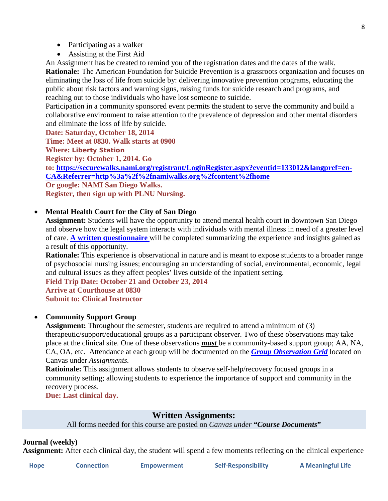- Participating as a walker
- Assisting at the First Aid

An Assignment has be created to remind you of the registration dates and the dates of the walk. **Rationale:** The American Foundation for Suicide Prevention is a grassroots organization and focuses on eliminating the loss of life from suicide by: delivering innovative prevention programs, educating the public about risk factors and warning signs, raising funds for suicide research and programs, and reaching out to those individuals who have lost someone to suicide.

Participation in a community sponsored event permits the student to serve the community and build a collaborative environment to raise attention to the prevalence of depression and other mental disorders and eliminate the loss of life by suicide.

**Date: Saturday, October 18, 2014 Time: Meet at 0830. Walk starts at 0900 Where: Liberty Station Register by: October 1, 2014. Go to: [https://securewalks.nami.org/registrant/LoginRegister.aspx?eventid=133012&langpref=en-](https://securewalks.nami.org/registrant/LoginRegister.aspx?eventid=133012&langpref=en-CA&Referrer=http%3a%2f%2fnamiwalks.org%2fcontent%2fhome)[CA&Referrer=http%3a%2f%2fnamiwalks.org%2fcontent%2fhome](https://securewalks.nami.org/registrant/LoginRegister.aspx?eventid=133012&langpref=en-CA&Referrer=http%3a%2f%2fnamiwalks.org%2fcontent%2fhome) Or google: NAMI San Diego Walks. Register, then sign up with PLNU Nursing.**

## • **Mental Health Court for the City of San Diego**

**Assignment:** Students will have the opportunity to attend mental health court in downtown San Diego and observe how the legal system interacts with individuals with mental illness in need of a greater level of care. **A written questionnaire** will be completed summarizing the experience and insights gained as a result of this opportunity.

**Rationale:** This experience is observational in nature and is meant to expose students to a broader range of psychosocial nursing issues; encouraging an understanding of social, environmental, economic, legal and cultural issues as they affect peoples' lives outside of the inpatient setting.

**Field Trip Date: October 21 and October 23, 2014 Arrive at Courthouse at 0830 Submit to: Clinical Instructor**

#### • **Community Support Group**

**Assignment:** Throughout the semester, students are required to attend a minimum of (3) therapeutic/support/educational groups as a participant observer. Two of these observations may take place at the clinical site. One of these observations *must* be a community-based support group; AA, NA, CA, OA, etc. Attendance at each group will be documented on the *Group Observation Grid* located on Canvas under *Assignments.*

**Ratioinale:** This assignment allows students to observe self-help/recovery focused groups in a community setting; allowing students to experience the importance of support and community in the recovery process.

**Due: Last clinical day.**

## **Written Assignments:**

All forms needed for this course are posted on *Canvas under "Course Documents***"**

#### **Journal (weekly)**

**Assignment:** After each clinical day, the student will spend a few moments reflecting on the clinical experience

| . . | . . |
|-----|-----|
|-----|-----|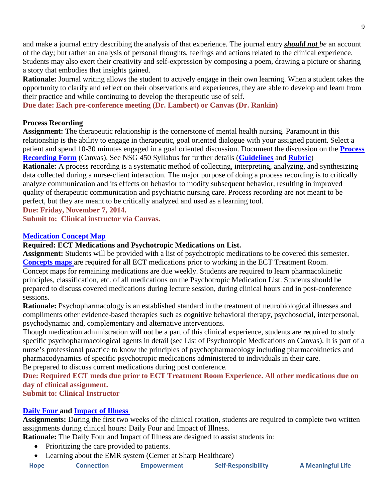and make a journal entry describing the analysis of that experience. The journal entry *should not be* an account of the day; but rather an analysis of personal thoughts, feelings and actions related to the clinical experience. Students may also exert their creativity and self-expression by composing a poem, drawing a picture or sharing a story that embodies that insights gained.

**Rationale:** Journal writing allows the student to actively engage in their own learning. When a student takes the opportunity to clarify and reflect on their observations and experiences, they are able to develop and learn from their practice and while continuing to develop the therapeutic use of self.

**Due date: Each pre-conference meeting (Dr. Lambert) or Canvas (Dr. Rankin)**

#### **Process Recording**

**Assignment:** The therapeutic relationship is the cornerstone of mental health nursing. Paramount in this relationship is the ability to engage in therapeutic, goal oriented dialogue with your assigned patient. Select a patient and spend 10-30 minutes engaged in a goal oriented discussion. Document the discussion on the **Process Recording Form** (Canvas). See NSG 450 Syllabus for further details (**Guidelines** and **Rubric**)

**Rationale:** A process recording is a systematic method of collecting, interpreting, analyzing, and synthesizing data collected during a nurse-client interaction. The major purpose of doing a process recording is to critically analyze communication and its effects on behavior to modify subsequent behavior, resulting in improved quality of therapeutic communication and psychiatric nursing care. Process recording are not meant to be perfect, but they are meant to be critically analyzed and used as a learning tool.

**Due: Friday, November 7, 2014.**

**Submit to: Clinical instructor via Canvas.** 

#### **Medication Concept Map**

#### **Required: ECT Medications and Psychotropic Medications on List.**

**Assignment:** Students will be provided with a list of psychotropic medications to be covered this semester. **Concepts maps** are required for all ECT medications prior to working in the ECT Treatment Room. Concept maps for remaining medications are due weekly. Students are required to learn pharmacokinetic principles, classification, etc. of all medications on the Psychotropic Medication List. Students should be prepared to discuss covered medications during lecture session, during clinical hours and in post-conference sessions.

**Rationale:** Psychopharmacology is an established standard in the treatment of neurobiological illnesses and compliments other evidence-based therapies such as cognitive behavioral therapy, psychosocial, interpersonal, psychodynamic and, complementary and alternative interventions.

Though medication administration will not be a part of this clinical experience, students are required to study specific psychopharmacological agents in detail (see List of Psychotropic Medications on Canvas). It is part of a nurse's professional practice to know the principles of psychopharmacology including pharmacokinetics and pharmacodynamics of specific psychotropic medications administered to individuals in their care.

Be prepared to discuss current medications during post conference.

**Due: Required ECT meds due prior to ECT Treatment Room Experience. All other medications due on day of clinical assignment.** 

**Submit to: Clinical Instructor**

#### **Daily Four and Impact of Illness**

**Assignments:** During the first two weeks of the clinical rotation, students are required to complete two written assignments during clinical hours: Daily Four and Impact of Illness.

**Rationale:** The Daily Four and Impact of Illness are designed to assist students in:

- Prioritizing the care provided to patients.
- Learning about the EMR system (Cerner at Sharp Healthcare)

| Hope | <b>Connection</b> | <b>Empowerment</b> | <b>Self-Responsibility</b> |
|------|-------------------|--------------------|----------------------------|
|------|-------------------|--------------------|----------------------------|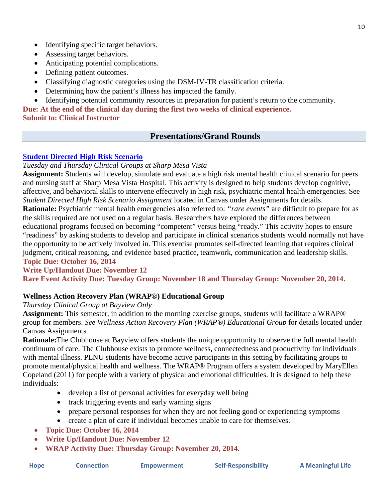- Identifying specific target behaviors.
- Assessing target behaviors.
- Anticipating potential complications.
- Defining patient outcomes.
- Classifying diagnostic categories using the DSM-IV-TR classification criteria.
- Determining how the patient's illness has impacted the family.
- Identifying potential community resources in preparation for patient's return to the community.

**Due: At the end of the clinical day during the first two weeks of clinical experience.** 

### **Submit to: Clinical Instructor**

# **Presentations/Grand Rounds**

## **Student Directed High Risk Scenario**

*Tuesday and Thursday Clinical Groups at Sharp Mesa Vista*

**Assignment:** Students will develop, simulate and evaluate a high risk mental health clinical scenario for peers and nursing staff at Sharp Mesa Vista Hospital. This activity is designed to help students develop cognitive, affective, and behavioral skills to intervene effectively in high risk, psychiatric mental health emergencies. See *Student Directed High Risk Scenario Assignment* located in Canvas under Assignments for details.

**Rationale:** Psychiatric mental health emergencies also referred to: *"rare events"* are difficult to prepare for as the skills required are not used on a regular basis. Researchers have explored the differences between educational programs focused on becoming "competent" versus being "ready." This activity hopes to ensure "readiness" by asking students to develop and participate in clinical scenarios students would normally not have the opportunity to be actively involved in. This exercise promotes self-directed learning that requires clinical judgment, critical reasoning, and evidence based practice, teamwork, communication and leadership skills. **Topic Due: October 16, 2014**

# **Write Up/Handout Due: November 12**

**Rare Event Activity Due: Tuesday Group: November 18 and Thursday Group: November 20, 2014.** 

## **Wellness Action Recovery Plan (WRAP®) Educational Group**

## *Thursday Clinical Group at Bayview Only*

**Assignment:** This semester, in addition to the morning exercise groups, students will facilitate a WRAP® group for members. *See Wellness Action Recovery Plan (WRAP®) Educational Group* for details located under Canvas Assignments.

**Rationale:**The Clubhouse at Bayview offers students the unique opportunity to observe the full mental health continuum of care. The Clubhouse exists to promote wellness, connectedness and productivity for individuals with mental illness. PLNU students have become active participants in this setting by facilitating groups to promote mental/physical health and wellness. The WRAP® Program offers a system developed by MaryEllen Copeland (2011) for people with a variety of physical and emotional difficulties. It is designed to help these individuals:

- develop a list of personal activities for everyday well being
- track triggering events and early warning signs
- prepare personal responses for when they are not feeling good or experiencing symptoms
- create a plan of care if individual becomes unable to care for themselves.
- **Topic Due: October 16, 2014**
- **Write Up/Handout Due: November 12**
- **WRAP Activity Due: Thursday Group: November 20, 2014.**

|  | lope |  |  |  |
|--|------|--|--|--|
|--|------|--|--|--|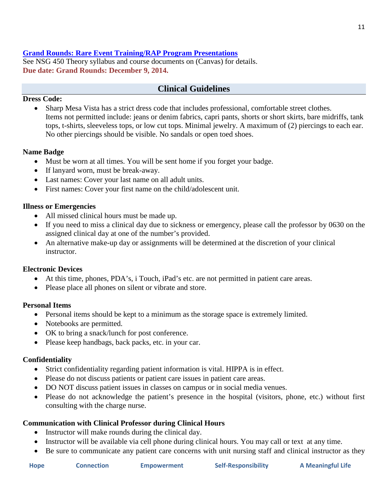#### **Grand Rounds: Rare Event Training/RAP Program Presentations**

See NSG 450 Theory syllabus and course documents on (Canvas) for details. **Due date: Grand Rounds: December 9, 2014.**

## **Clinical Guidelines**

#### **Dress Code:**

• Sharp Mesa Vista has a strict dress code that includes professional, comfortable street clothes. Items not permitted include: jeans or denim fabrics, capri pants, shorts or short skirts, bare midriffs, tank tops, t-shirts, sleeveless tops, or low cut tops. Minimal jewelry. A maximum of (2) piercings to each ear. No other piercings should be visible. No sandals or open toed shoes.

#### **Name Badge**

- Must be worn at all times. You will be sent home if you forget your badge.
- If lanyard worn, must be break-away.
- Last names: Cover your last name on all adult units.
- First names: Cover your first name on the child/adolescent unit.

#### **Illness or Emergencies**

- All missed clinical hours must be made up.
- If you need to miss a clinical day due to sickness or emergency, please call the professor by 0630 on the assigned clinical day at one of the number's provided.
- An alternative make-up day or assignments will be determined at the discretion of your clinical instructor.

#### **Electronic Devices**

- At this time, phones, PDA's, i Touch, iPad's etc. are not permitted in patient care areas.
- Please place all phones on silent or vibrate and store.

#### **Personal Items**

- Personal items should be kept to a minimum as the storage space is extremely limited.
- Notebooks are permitted.
- OK to bring a snack/lunch for post conference.
- Please keep handbags, back packs, etc. in your car.

#### **Confidentiality**

- Strict confidentiality regarding patient information is vital. HIPPA is in effect.
- Please do not discuss patients or patient care issues in patient care areas.
- DO NOT discuss patient issues in classes on campus or in social media venues.
- Please do not acknowledge the patient's presence in the hospital (visitors, phone, etc.) without first consulting with the charge nurse.

#### **Communication with Clinical Professor during Clinical Hours**

- Instructor will make rounds during the clinical day.
- Instructor will be available via cell phone during clinical hours. You may call or text at any time.
- Be sure to communicate any patient care concerns with unit nursing staff and clinical instructor as they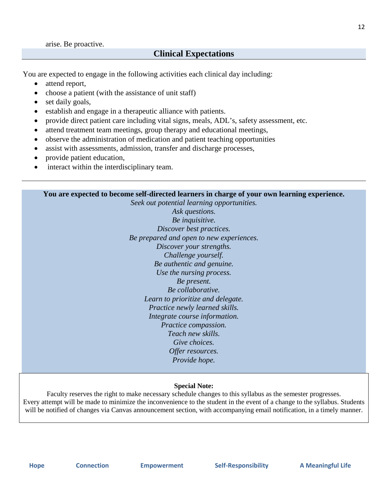#### **Clinical Expectations**

You are expected to engage in the following activities each clinical day including:

- attend report,
- choose a patient (with the assistance of unit staff)
- set daily goals,
- establish and engage in a therapeutic alliance with patients.
- provide direct patient care including vital signs, meals, ADL's, safety assessment, etc.
- attend treatment team meetings, group therapy and educational meetings,
- observe the administration of medication and patient teaching opportunities
- assist with assessments, admission, transfer and discharge processes,
- provide patient education,
- interact within the interdisciplinary team.

**You are expected to become self-directed learners in charge of your own learning experience.**

*Seek out potential learning opportunities. Ask questions. Be inquisitive. Discover best practices. Be prepared and open to new experiences. Discover your strengths. Challenge yourself. Be authentic and genuine. Use the nursing process. Be present. Be collaborative. Learn to prioritize and delegate. Practice newly learned skills. Integrate course information. Practice compassion. Teach new skills. Give choices. Offer resources. Provide hope.*

#### **Special Note:**

Faculty reserves the right to make necessary schedule changes to this syllabus as the semester progresses. Every attempt will be made to minimize the inconvenience to the student in the event of a change to the syllabus. Students will be notified of changes via Canvas announcement section, with accompanying email notification, in a timely manner.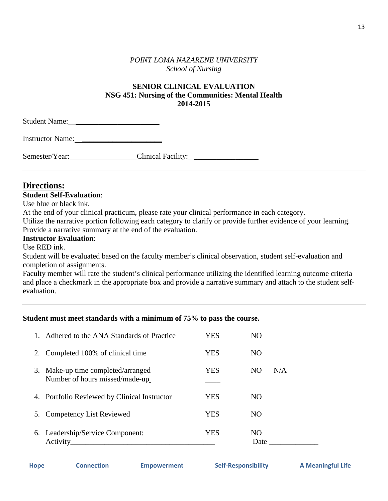#### *POINT LOMA NAZARENE UNIVERSITY School of Nursing*

#### **SENIOR CLINICAL EVALUATION NSG 451: Nursing of the Communities: Mental Health 2014-2015**

| <b>Student Name:</b>    |  |  |
|-------------------------|--|--|
| <b>Instructor Name:</b> |  |  |

| Semester/Year: | Clinical Facility: |
|----------------|--------------------|
|----------------|--------------------|

# **Directions:**

#### **Student Self-Evaluation**:

Use blue or black ink.

At the end of your clinical practicum, please rate your clinical performance in each category.

Utilize the narrative portion following each category to clarify or provide further evidence of your learning. Provide a narrative summary at the end of the evaluation.

#### **Instructor Evaluation**:

Use RED ink.

Student will be evaluated based on the faculty member's clinical observation, student self-evaluation and completion of assignments.

Faculty member will rate the student's clinical performance utilizing the identified learning outcome criteria and place a checkmark in the appropriate box and provide a narrative summary and attach to the student selfevaluation.

## **Student must meet standards with a minimum of 75% to pass the course.**

| $1_{-}$ | Adhered to the ANA Standards of Practice                             | YES | NO          |     |
|---------|----------------------------------------------------------------------|-----|-------------|-----|
|         | 2. Completed 100% of clinical time                                   | YES | NO          |     |
|         | 3. Make-up time completed/arranged<br>Number of hours missed/made-up | YES | NO          | N/A |
|         | 4. Portfolio Reviewed by Clinical Instructor                         | YES | NO          |     |
|         | 5. Competency List Reviewed                                          | YES | NO          |     |
|         | 6. Leadership/Service Component:<br>Activity                         | YES | NO.<br>Date |     |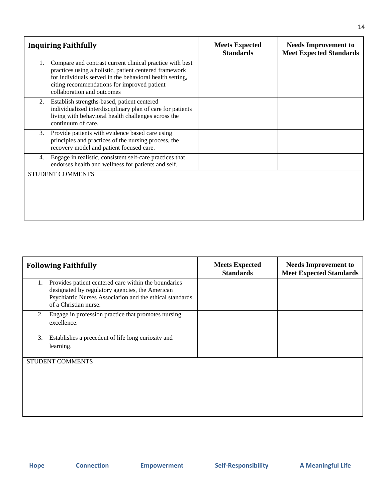|    | <b>Inquiring Faithfully</b>                                                                                                                                                                                                                                 | <b>Meets Expected</b><br><b>Standards</b> | <b>Needs Improvement to</b><br><b>Meet Expected Standards</b> |
|----|-------------------------------------------------------------------------------------------------------------------------------------------------------------------------------------------------------------------------------------------------------------|-------------------------------------------|---------------------------------------------------------------|
| 1. | Compare and contrast current clinical practice with best<br>practices using a holistic, patient centered framework<br>for individuals served in the behavioral health setting,<br>citing recommendations for improved patient<br>collaboration and outcomes |                                           |                                                               |
| 2. | Establish strengths-based, patient centered<br>individualized interdisciplinary plan of care for patients<br>living with behavioral health challenges across the<br>continuum of care.                                                                      |                                           |                                                               |
| 3. | Provide patients with evidence based care using<br>principles and practices of the nursing process, the<br>recovery model and patient focused care.                                                                                                         |                                           |                                                               |
| 4. | Engage in realistic, consistent self-care practices that<br>endorses health and wellness for patients and self.                                                                                                                                             |                                           |                                                               |
|    | <b>STUDENT COMMENTS</b>                                                                                                                                                                                                                                     |                                           |                                                               |

| <b>Following Faithfully</b> |                                                                                                                                                                                              | <b>Meets Expected</b><br><b>Standards</b> | <b>Needs Improvement to</b><br><b>Meet Expected Standards</b> |
|-----------------------------|----------------------------------------------------------------------------------------------------------------------------------------------------------------------------------------------|-------------------------------------------|---------------------------------------------------------------|
| 1.                          | Provides patient centered care within the boundaries<br>designated by regulatory agencies, the American<br>Psychiatric Nurses Association and the ethical standards<br>of a Christian nurse. |                                           |                                                               |
| 2.                          | Engage in profession practice that promotes nursing<br>excellence.                                                                                                                           |                                           |                                                               |
| 3.                          | Establishes a precedent of life long curiosity and<br>learning.                                                                                                                              |                                           |                                                               |
|                             | <b>STUDENT COMMENTS</b>                                                                                                                                                                      |                                           |                                                               |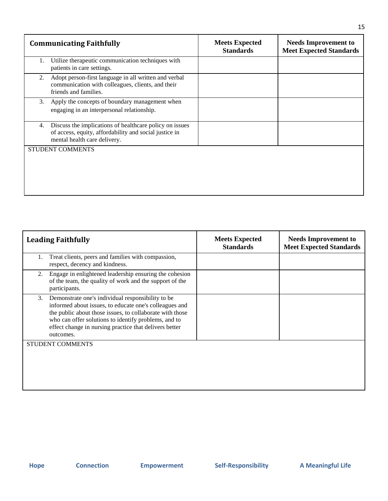| <b>Communicating Faithfully</b> |                                                                                                                                                   | <b>Meets Expected</b><br><b>Standards</b> | <b>Needs Improvement to</b><br><b>Meet Expected Standards</b> |
|---------------------------------|---------------------------------------------------------------------------------------------------------------------------------------------------|-------------------------------------------|---------------------------------------------------------------|
| 1.                              | Utilize therapeutic communication techniques with<br>patients in care settings.                                                                   |                                           |                                                               |
| 2.                              | Adopt person-first language in all written and verbal<br>communication with colleagues, clients, and their<br>friends and families.               |                                           |                                                               |
| 3.                              | Apply the concepts of boundary management when<br>engaging in an interpersonal relationship.                                                      |                                           |                                                               |
| 4.                              | Discuss the implications of healthcare policy on issues<br>of access, equity, affordability and social justice in<br>mental health care delivery. |                                           |                                                               |
| <b>STUDENT COMMENTS</b>         |                                                                                                                                                   |                                           |                                                               |
|                                 |                                                                                                                                                   |                                           |                                                               |
|                                 |                                                                                                                                                   |                                           |                                                               |

| <b>Leading Faithfully</b>                                                                                                                                                                                                                                                                                    | <b>Meets Expected</b><br><b>Standards</b> | <b>Needs Improvement to</b><br><b>Meet Expected Standards</b> |
|--------------------------------------------------------------------------------------------------------------------------------------------------------------------------------------------------------------------------------------------------------------------------------------------------------------|-------------------------------------------|---------------------------------------------------------------|
| Treat clients, peers and families with compassion,<br>respect, decency and kindness.                                                                                                                                                                                                                         |                                           |                                                               |
| Engage in enlightened leadership ensuring the cohesion<br>2.<br>of the team, the quality of work and the support of the<br>participants.                                                                                                                                                                     |                                           |                                                               |
| Demonstrate one's individual responsibility to be<br>3.<br>informed about issues, to educate one's colleagues and<br>the public about those issues, to collaborate with those<br>who can offer solutions to identify problems, and to<br>effect change in nursing practice that delivers better<br>outcomes. |                                           |                                                               |
| STUDENT COMMENTS                                                                                                                                                                                                                                                                                             |                                           |                                                               |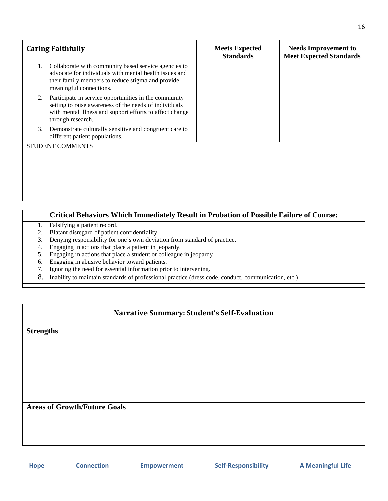| <b>Caring Faithfully</b>                                                                                                                                                                               | <b>Meets Expected</b><br><b>Standards</b> | <b>Needs Improvement to</b><br><b>Meet Expected Standards</b> |
|--------------------------------------------------------------------------------------------------------------------------------------------------------------------------------------------------------|-------------------------------------------|---------------------------------------------------------------|
| Collaborate with community based service agencies to<br>1.<br>advocate for individuals with mental health issues and<br>their family members to reduce stigma and provide<br>meaningful connections.   |                                           |                                                               |
| Participate in service opportunities in the community<br>2.<br>setting to raise awareness of the needs of individuals<br>with mental illness and support efforts to affect change<br>through research. |                                           |                                                               |
| Demonstrate culturally sensitive and congruent care to<br>3.<br>different patient populations.                                                                                                         |                                           |                                                               |
| <b>STUDENT COMMENTS</b>                                                                                                                                                                                |                                           |                                                               |
|                                                                                                                                                                                                        |                                           |                                                               |
|                                                                                                                                                                                                        |                                           |                                                               |
|                                                                                                                                                                                                        |                                           |                                                               |

## **Critical Behaviors Which Immediately Result in Probation of Possible Failure of Course:**

- 1. Falsifying a patient record.
- 2. Blatant disregard of patient confidentiality
- 3. Denying responsibility for one's own deviation from standard of practice.
- 4. Engaging in actions that place a patient in jeopardy.
- 5. Engaging in actions that place a student or colleague in jeopardy
- 6. Engaging in abusive behavior toward patients.
- 7. Ignoring the need for essential information prior to intervening.
- 8. Inability to maintain standards of professional practice (dress code, conduct, communication, etc.)

#### **Narrative Summary: Student's Self-Evaluation**

**Strengths**

**Areas of Growth/Future Goals**